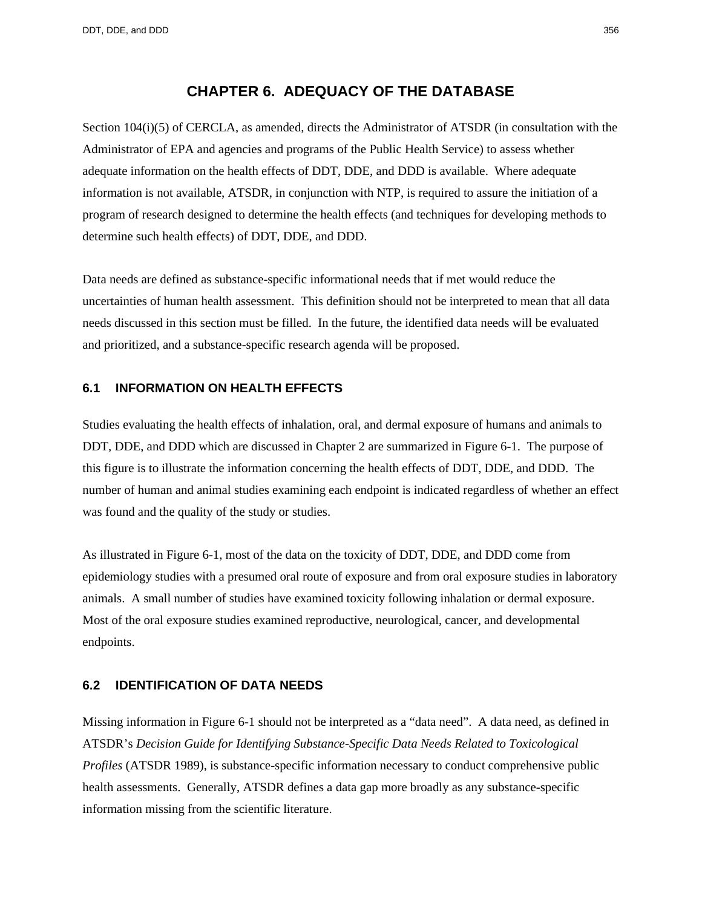### **CHAPTER 6. ADEQUACY OF THE DATABASE**

Section 104(i)(5) of CERCLA, as amended, directs the Administrator of ATSDR (in consultation with the Administrator of EPA and agencies and programs of the Public Health Service) to assess whether adequate information on the health effects of DDT, DDE, and DDD is available. Where adequate information is not available, ATSDR, in conjunction with NTP, is required to assure the initiation of a program of research designed to determine the health effects (and techniques for developing methods to determine such health effects) of DDT, DDE, and DDD.

Data needs are defined as substance-specific informational needs that if met would reduce the uncertainties of human health assessment. This definition should not be interpreted to mean that all data needs discussed in this section must be filled. In the future, the identified data needs will be evaluated and prioritized, and a substance-specific research agenda will be proposed.

### **6.1 INFORMATION ON HEALTH EFFECTS**

Studies evaluating the health effects of inhalation, oral, and dermal exposure of humans and animals to DDT, DDE, and DDD which are discussed in Chapter 2 are summarized in [Figure 6-1.](#page-1-0) The purpose of this figure is to illustrate the information concerning the health effects of DDT, DDE, and DDD. The number of human and animal studies examining each endpoint is indicated regardless of whether an effect was found and the quality of the study or studies.

As illustrated in [Figure 6-1,](#page-1-0) most of the data on the toxicity of DDT, DDE, and DDD come from epidemiology studies with a presumed oral route of exposure and from oral exposure studies in laboratory animals. A small number of studies have examined toxicity following inhalation or dermal exposure. Most of the oral exposure studies examined reproductive, neurological, cancer, and developmental endpoints.

### **6.2 IDENTIFICATION OF DATA NEEDS**

Missing information in [Figure 6-1](#page-1-0) should not be interpreted as a "data need". A data need, as defined in ATSDR's *Decision Guide for Identifying Substance-Specific Data Needs Related to Toxicological Profiles* (ATSDR 1989), is substance-specific information necessary to conduct comprehensive public health assessments. Generally, ATSDR defines a data gap more broadly as any substance-specific information missing from the scientific literature.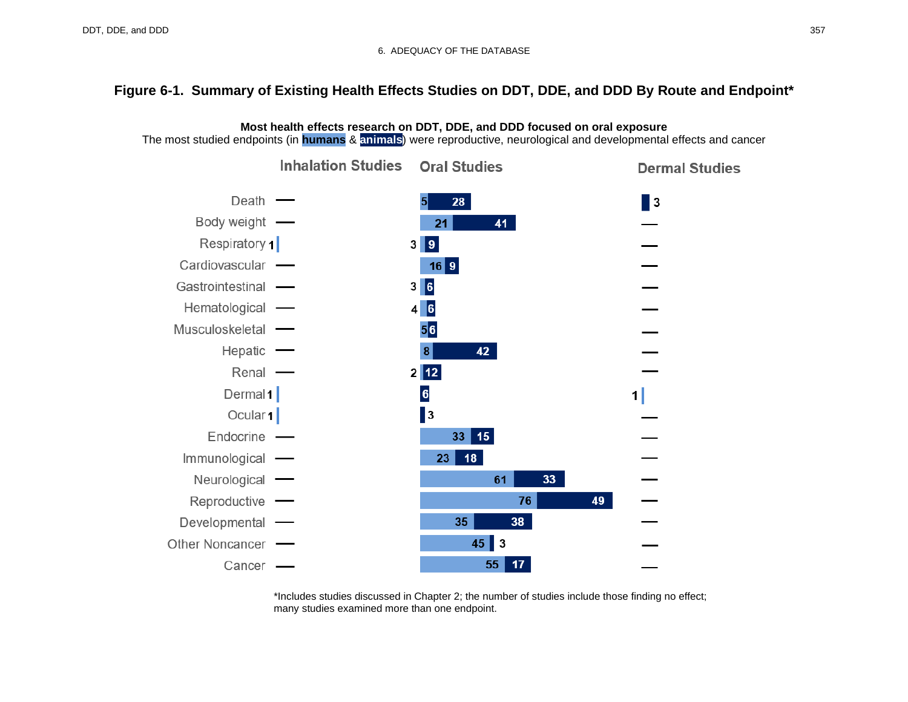## **Figure 6-1. Summary of Existing Health Effects Studies on DDT, DDE, and DDD By Route and Endpoint\***

<span id="page-1-0"></span>

|                        |                           | Most health effects research on DDT, DDE, and DDD focused on oral exposure<br>The most studied endpoints (in <b>humans &amp; animals)</b> were reproductive, neurological and developmental effects and cancer |                       |
|------------------------|---------------------------|----------------------------------------------------------------------------------------------------------------------------------------------------------------------------------------------------------------|-----------------------|
|                        | <b>Inhalation Studies</b> | <b>Oral Studies</b>                                                                                                                                                                                            | <b>Dermal Studies</b> |
| Death                  |                           | 28                                                                                                                                                                                                             | <b>3</b>              |
| Body weight -          |                           | 41<br>21                                                                                                                                                                                                       |                       |
| Respiratory 1          |                           | 3 9                                                                                                                                                                                                            |                       |
| Cardiovascular -       |                           | $16$ 9                                                                                                                                                                                                         |                       |
| Gastrointestinal       |                           | 3 6                                                                                                                                                                                                            |                       |
| Hematological          |                           | $4 \vert 6 \vert$                                                                                                                                                                                              |                       |
| Musculoskeletal -      |                           | 56                                                                                                                                                                                                             |                       |
| Hepatic                |                           | 42<br>8 <sup>1</sup>                                                                                                                                                                                           |                       |
| Renal -                |                           | 2 12                                                                                                                                                                                                           |                       |
| Dermal <sub>1</sub>    |                           | $6\overline{6}$                                                                                                                                                                                                | $\mathbf{1}$          |
| Ocular 1               |                           | $\mathbf{I}$                                                                                                                                                                                                   |                       |
| Endocrine -            |                           | 33 15                                                                                                                                                                                                          |                       |
| Immunological -        |                           | 18<br>23                                                                                                                                                                                                       |                       |
| Neurological           |                           | 33<br>61                                                                                                                                                                                                       |                       |
| Reproductive           |                           | 76<br>49                                                                                                                                                                                                       |                       |
| Developmental          |                           | 38<br>35                                                                                                                                                                                                       |                       |
| <b>Other Noncancer</b> |                           | $45$ 3                                                                                                                                                                                                         |                       |
| Cancer -               |                           | 55 <sub>o</sub><br>17 <sub>2</sub>                                                                                                                                                                             |                       |

\*Includes studies discussed in Chapter 2; the number of studies include those finding no effect; many studies examined more than one endpoint.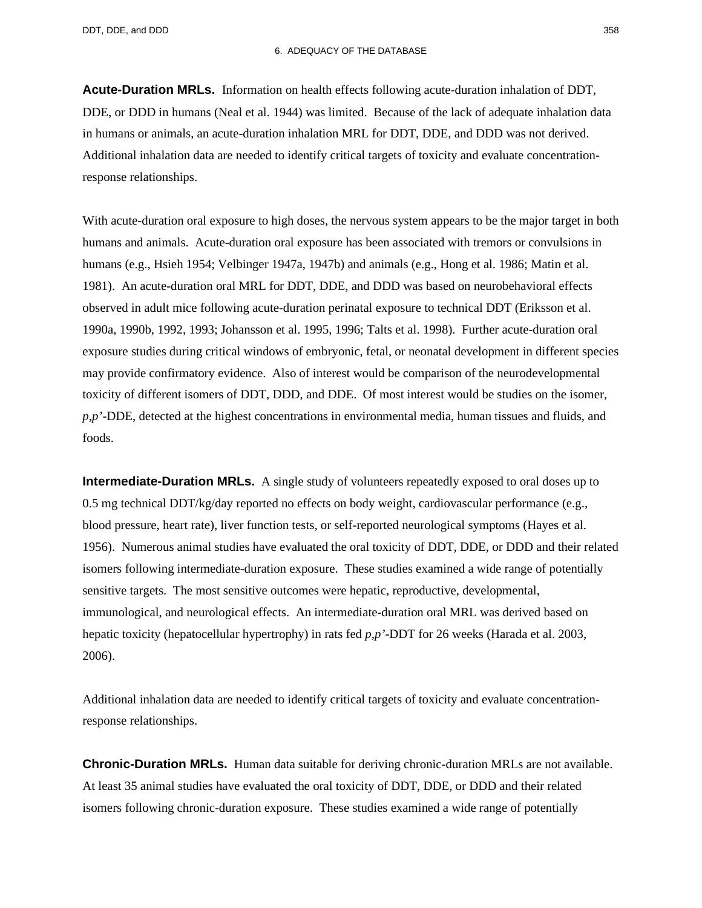#### 6. ADEQUACY OF THE DATABASE

**Acute-Duration MRLs.** Information on health effects following acute-duration inhalation of DDT, DDE, or DDD in humans (Neal et al. 1944) was limited. Because of the lack of adequate inhalation data in humans or animals, an acute-duration inhalation MRL for DDT, DDE, and DDD was not derived. Additional inhalation data are needed to identify critical targets of toxicity and evaluate concentrationresponse relationships.

With acute-duration oral exposure to high doses, the nervous system appears to be the major target in both humans and animals. Acute-duration oral exposure has been associated with tremors or convulsions in humans (e.g., Hsieh 1954; Velbinger 1947a, 1947b) and animals (e.g., Hong et al. 1986; Matin et al. 1981). An acute-duration oral MRL for DDT, DDE, and DDD was based on neurobehavioral effects observed in adult mice following acute-duration perinatal exposure to technical DDT (Eriksson et al. 1990a, 1990b, 1992, 1993; Johansson et al. 1995, 1996; Talts et al. 1998). Further acute-duration oral exposure studies during critical windows of embryonic, fetal, or neonatal development in different species may provide confirmatory evidence. Also of interest would be comparison of the neurodevelopmental toxicity of different isomers of DDT, DDD, and DDE. Of most interest would be studies on the isomer, *p,p'*-DDE, detected at the highest concentrations in environmental media, human tissues and fluids, and foods.

**Intermediate-Duration MRLs.** A single study of volunteers repeatedly exposed to oral doses up to 0.5 mg technical DDT/kg/day reported no effects on body weight, cardiovascular performance (e.g., blood pressure, heart rate), liver function tests, or self-reported neurological symptoms (Hayes et al. 1956). Numerous animal studies have evaluated the oral toxicity of DDT, DDE, or DDD and their related isomers following intermediate-duration exposure. These studies examined a wide range of potentially sensitive targets. The most sensitive outcomes were hepatic, reproductive, developmental, immunological, and neurological effects. An intermediate-duration oral MRL was derived based on hepatic toxicity (hepatocellular hypertrophy) in rats fed *p,p'*-DDT for 26 weeks (Harada et al. 2003, 2006).

Additional inhalation data are needed to identify critical targets of toxicity and evaluate concentrationresponse relationships.

**Chronic-Duration MRLs.** Human data suitable for deriving chronic-duration MRLs are not available. At least 35 animal studies have evaluated the oral toxicity of DDT, DDE, or DDD and their related isomers following chronic-duration exposure. These studies examined a wide range of potentially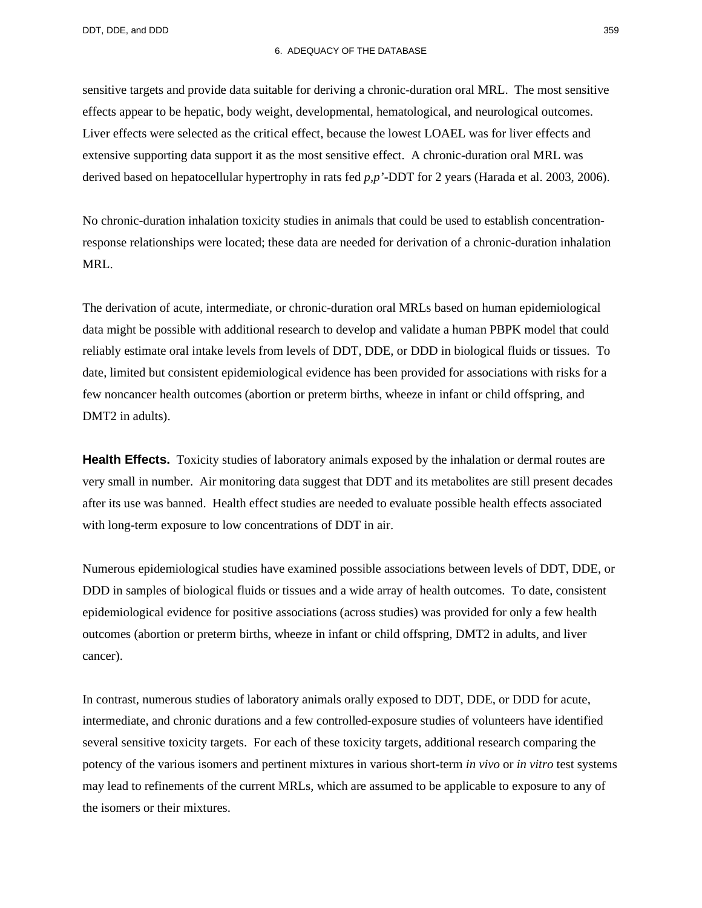#### 6. ADEQUACY OF THE DATABASE

sensitive targets and provide data suitable for deriving a chronic-duration oral MRL. The most sensitive effects appear to be hepatic, body weight, developmental, hematological, and neurological outcomes. Liver effects were selected as the critical effect, because the lowest LOAEL was for liver effects and extensive supporting data support it as the most sensitive effect. A chronic-duration oral MRL was derived based on hepatocellular hypertrophy in rats fed *p,p'*-DDT for 2 years (Harada et al. 2003, 2006).

No chronic-duration inhalation toxicity studies in animals that could be used to establish concentrationresponse relationships were located; these data are needed for derivation of a chronic-duration inhalation MRL.

The derivation of acute, intermediate, or chronic-duration oral MRLs based on human epidemiological data might be possible with additional research to develop and validate a human PBPK model that could reliably estimate oral intake levels from levels of DDT, DDE, or DDD in biological fluids or tissues. To date, limited but consistent epidemiological evidence has been provided for associations with risks for a few noncancer health outcomes (abortion or preterm births, wheeze in infant or child offspring, and DMT2 in adults).

**Health Effects.** Toxicity studies of laboratory animals exposed by the inhalation or dermal routes are very small in number. Air monitoring data suggest that DDT and its metabolites are still present decades after its use was banned. Health effect studies are needed to evaluate possible health effects associated with long-term exposure to low concentrations of DDT in air.

Numerous epidemiological studies have examined possible associations between levels of DDT, DDE, or DDD in samples of biological fluids or tissues and a wide array of health outcomes. To date, consistent epidemiological evidence for positive associations (across studies) was provided for only a few health outcomes (abortion or preterm births, wheeze in infant or child offspring, DMT2 in adults, and liver cancer).

In contrast, numerous studies of laboratory animals orally exposed to DDT, DDE, or DDD for acute, intermediate, and chronic durations and a few controlled-exposure studies of volunteers have identified several sensitive toxicity targets. For each of these toxicity targets, additional research comparing the potency of the various isomers and pertinent mixtures in various short-term *in vivo* or *in vitro* test systems may lead to refinements of the current MRLs, which are assumed to be applicable to exposure to any of the isomers or their mixtures.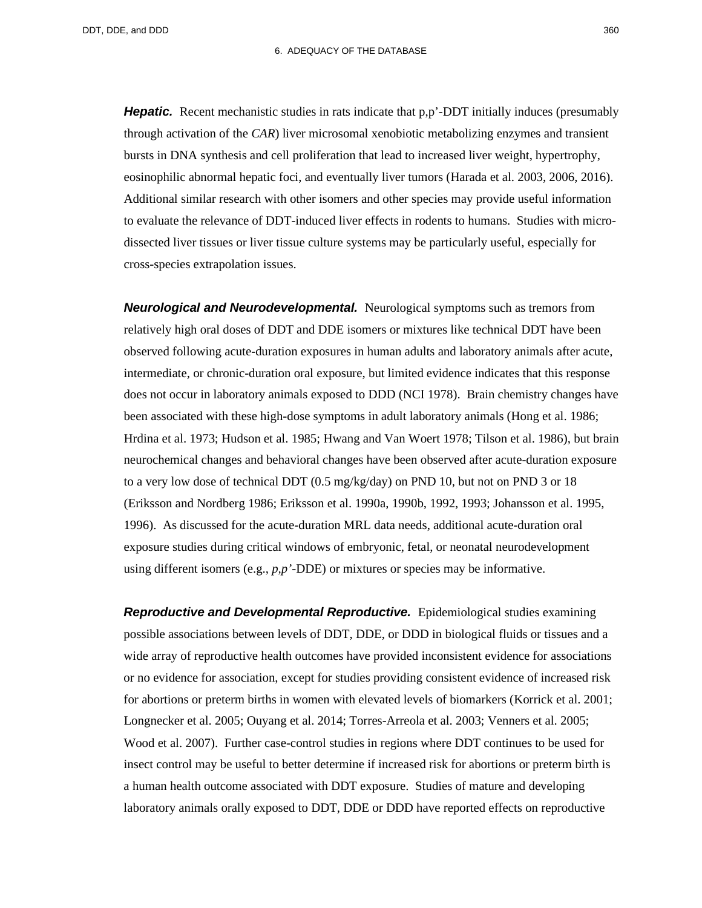*Hepatic.* Recent mechanistic studies in rats indicate that p,p'-DDT initially induces (presumably through activation of the *CAR*) liver microsomal xenobiotic metabolizing enzymes and transient bursts in DNA synthesis and cell proliferation that lead to increased liver weight, hypertrophy, eosinophilic abnormal hepatic foci, and eventually liver tumors (Harada et al. 2003, 2006, 2016). Additional similar research with other isomers and other species may provide useful information to evaluate the relevance of DDT-induced liver effects in rodents to humans. Studies with microdissected liver tissues or liver tissue culture systems may be particularly useful, especially for cross-species extrapolation issues.

*Neurological and Neurodevelopmental.* Neurological symptoms such as tremors from relatively high oral doses of DDT and DDE isomers or mixtures like technical DDT have been observed following acute-duration exposures in human adults and laboratory animals after acute, intermediate, or chronic-duration oral exposure, but limited evidence indicates that this response does not occur in laboratory animals exposed to DDD (NCI 1978). Brain chemistry changes have been associated with these high-dose symptoms in adult laboratory animals (Hong et al. 1986; Hrdina et al. 1973; Hudson et al. 1985; Hwang and Van Woert 1978; Tilson et al. 1986), but brain neurochemical changes and behavioral changes have been observed after acute-duration exposure to a very low dose of technical DDT (0.5 mg/kg/day) on PND 10, but not on PND 3 or 18 (Eriksson and Nordberg 1986; Eriksson et al. 1990a, 1990b, 1992, 1993; Johansson et al. 1995, 1996). As discussed for the acute-duration MRL data needs, additional acute-duration oral exposure studies during critical windows of embryonic, fetal, or neonatal neurodevelopment using different isomers (e.g., *p,p'*-DDE) or mixtures or species may be informative.

*Reproductive and Developmental Reproductive.*Epidemiological studies examining possible associations between levels of DDT, DDE, or DDD in biological fluids or tissues and a wide array of reproductive health outcomes have provided inconsistent evidence for associations or no evidence for association, except for studies providing consistent evidence of increased risk for abortions or preterm births in women with elevated levels of biomarkers (Korrick et al. 2001; Longnecker et al. 2005; Ouyang et al. 2014; Torres-Arreola et al. 2003; Venners et al. 2005; Wood et al. 2007). Further case-control studies in regions where DDT continues to be used for insect control may be useful to better determine if increased risk for abortions or preterm birth is a human health outcome associated with DDT exposure. Studies of mature and developing laboratory animals orally exposed to DDT, DDE or DDD have reported effects on reproductive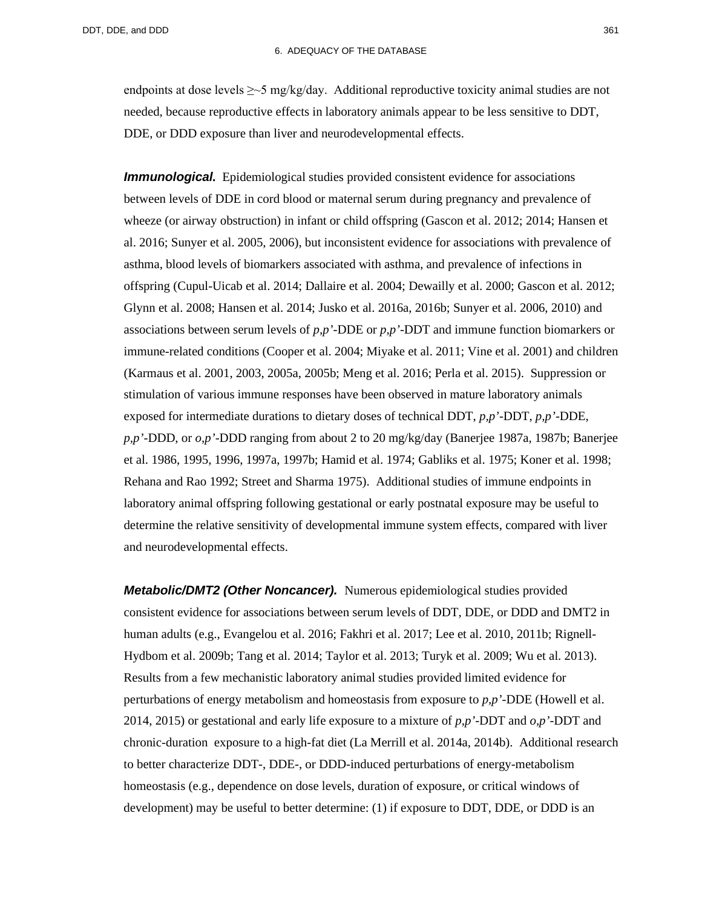#### 6. ADEQUACY OF THE DATABASE

endpoints at dose levels  $\geq$  5 mg/kg/day. Additional reproductive toxicity animal studies are not needed, because reproductive effects in laboratory animals appear to be less sensitive to DDT, DDE, or DDD exposure than liver and neurodevelopmental effects.

*Immunological.* Epidemiological studies provided consistent evidence for associations between levels of DDE in cord blood or maternal serum during pregnancy and prevalence of wheeze (or airway obstruction) in infant or child offspring (Gascon et al. 2012; 2014; Hansen et al. 2016; Sunyer et al. 2005, 2006), but inconsistent evidence for associations with prevalence of asthma, blood levels of biomarkers associated with asthma, and prevalence of infections in offspring (Cupul-Uicab et al. 2014; Dallaire et al. 2004; Dewailly et al. 2000; Gascon et al. 2012; Glynn et al. 2008; Hansen et al. 2014; Jusko et al. 2016a, 2016b; Sunyer et al. 2006, 2010) and associations between serum levels of *p,p'-*DDE or *p,p'-*DDT and immune function biomarkers or immune-related conditions (Cooper et al. 2004; Miyake et al. 2011; Vine et al. 2001) and children (Karmaus et al. 2001, 2003, 2005a, 2005b; Meng et al. 2016; Perla et al. 2015). Suppression or stimulation of various immune responses have been observed in mature laboratory animals exposed for intermediate durations to dietary doses of technical DDT, *p,p'*-DDT, *p,p'*-DDE, *p,p'*-DDD, or *o,p'*-DDD ranging from about 2 to 20 mg/kg/day (Banerjee 1987a, 1987b; Banerjee et al. 1986, 1995, 1996, 1997a, 1997b; Hamid et al. 1974; Gabliks et al. 1975; Koner et al. 1998; Rehana and Rao 1992; Street and Sharma 1975). Additional studies of immune endpoints in laboratory animal offspring following gestational or early postnatal exposure may be useful to determine the relative sensitivity of developmental immune system effects, compared with liver and neurodevelopmental effects.

*Metabolic/DMT2 (Other Noncancer).*Numerous epidemiological studies provided consistent evidence for associations between serum levels of DDT, DDE, or DDD and DMT2 in human adults (e.g., Evangelou et al. 2016; Fakhri et al. 2017; Lee et al. 2010, 2011b; Rignell-Hydbom et al. 2009b; Tang et al. 2014; Taylor et al. 2013; Turyk et al. 2009; Wu et al. 2013). Results from a few mechanistic laboratory animal studies provided limited evidence for perturbations of energy metabolism and homeostasis from exposure to *p,p'*-DDE (Howell et al. 2014, 2015) or gestational and early life exposure to a mixture of *p,p'*-DDT and *o,p'*-DDT and chronic-duration exposure to a high-fat diet (La Merrill et al. 2014a, 2014b). Additional research to better characterize DDT-, DDE-, or DDD-induced perturbations of energy-metabolism homeostasis (e.g., dependence on dose levels, duration of exposure, or critical windows of development) may be useful to better determine: (1) if exposure to DDT, DDE, or DDD is an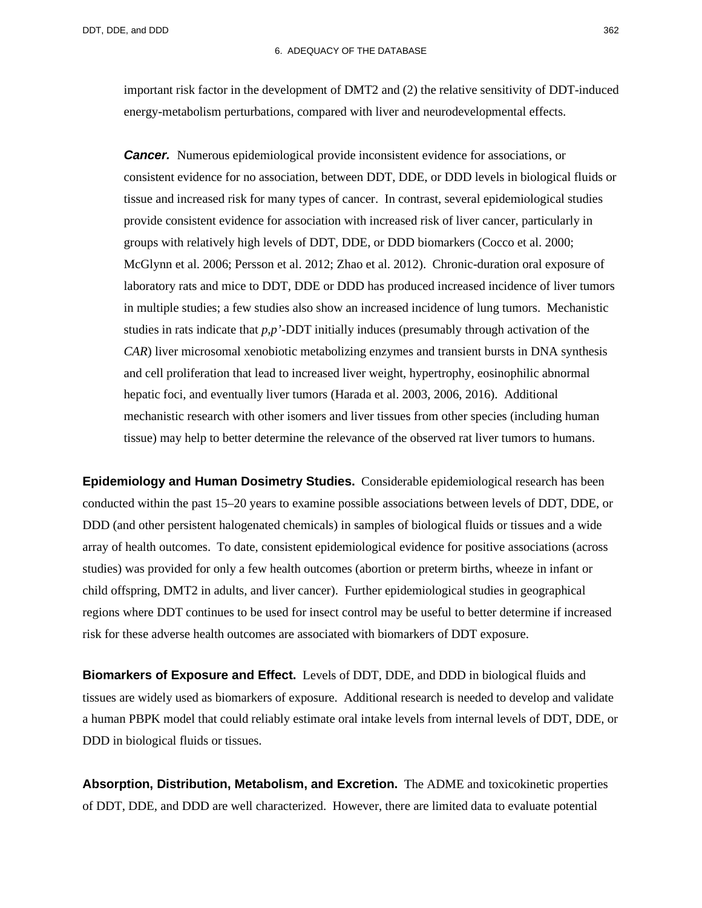#### 6. ADEQUACY OF THE DATABASE

important risk factor in the development of DMT2 and (2) the relative sensitivity of DDT-induced energy-metabolism perturbations, compared with liver and neurodevelopmental effects.

*Cancer.* Numerous epidemiological provide inconsistent evidence for associations, or consistent evidence for no association, between DDT, DDE, or DDD levels in biological fluids or tissue and increased risk for many types of cancer. In contrast, several epidemiological studies provide consistent evidence for association with increased risk of liver cancer, particularly in groups with relatively high levels of DDT, DDE, or DDD biomarkers (Cocco et al. 2000; McGlynn et al. 2006; Persson et al. 2012; Zhao et al. 2012). Chronic-duration oral exposure of laboratory rats and mice to DDT, DDE or DDD has produced increased incidence of liver tumors in multiple studies; a few studies also show an increased incidence of lung tumors. Mechanistic studies in rats indicate that *p,p'*-DDT initially induces (presumably through activation of the *CAR*) liver microsomal xenobiotic metabolizing enzymes and transient bursts in DNA synthesis and cell proliferation that lead to increased liver weight, hypertrophy, eosinophilic abnormal hepatic foci, and eventually liver tumors (Harada et al. 2003, 2006, 2016). Additional mechanistic research with other isomers and liver tissues from other species (including human tissue) may help to better determine the relevance of the observed rat liver tumors to humans.

**Epidemiology and Human Dosimetry Studies.** Considerable epidemiological research has been conducted within the past 15–20 years to examine possible associations between levels of DDT, DDE, or DDD (and other persistent halogenated chemicals) in samples of biological fluids or tissues and a wide array of health outcomes. To date, consistent epidemiological evidence for positive associations (across studies) was provided for only a few health outcomes (abortion or preterm births, wheeze in infant or child offspring, DMT2 in adults, and liver cancer). Further epidemiological studies in geographical regions where DDT continues to be used for insect control may be useful to better determine if increased risk for these adverse health outcomes are associated with biomarkers of DDT exposure.

**Biomarkers of Exposure and Effect.** Levels of DDT, DDE, and DDD in biological fluids and tissues are widely used as biomarkers of exposure. Additional research is needed to develop and validate a human PBPK model that could reliably estimate oral intake levels from internal levels of DDT, DDE, or DDD in biological fluids or tissues.

**Absorption, Distribution, Metabolism, and Excretion.** The ADME and toxicokinetic properties of DDT, DDE, and DDD are well characterized. However, there are limited data to evaluate potential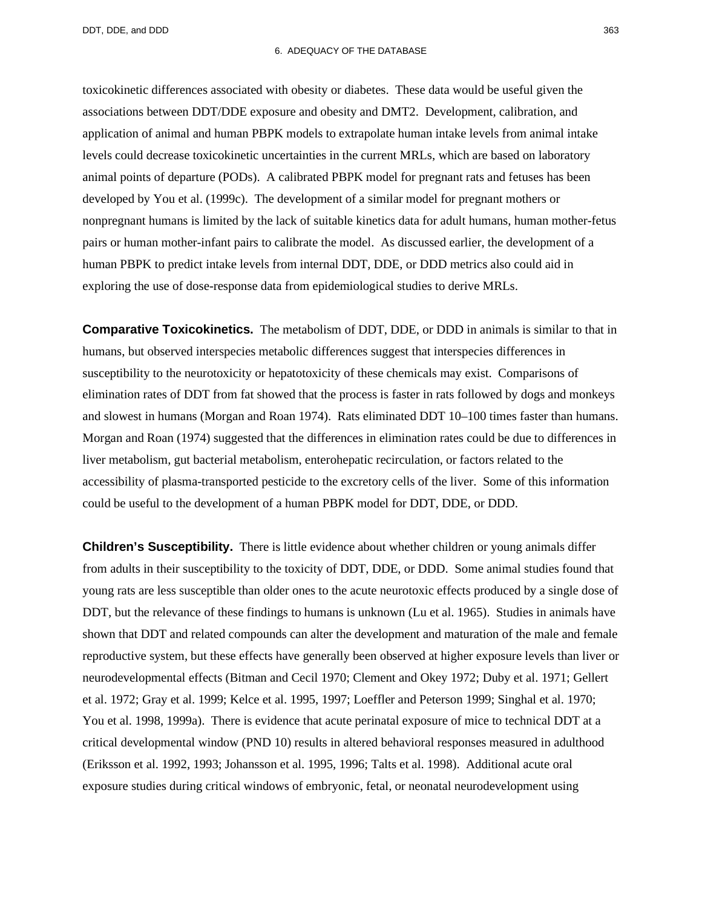#### 6. ADEQUACY OF THE DATABASE

toxicokinetic differences associated with obesity or diabetes. These data would be useful given the associations between DDT/DDE exposure and obesity and DMT2. Development, calibration, and application of animal and human PBPK models to extrapolate human intake levels from animal intake levels could decrease toxicokinetic uncertainties in the current MRLs, which are based on laboratory animal points of departure (PODs). A calibrated PBPK model for pregnant rats and fetuses has been developed by You et al. (1999c). The development of a similar model for pregnant mothers or nonpregnant humans is limited by the lack of suitable kinetics data for adult humans, human mother-fetus pairs or human mother-infant pairs to calibrate the model. As discussed earlier, the development of a human PBPK to predict intake levels from internal DDT, DDE, or DDD metrics also could aid in exploring the use of dose-response data from epidemiological studies to derive MRLs.

**Comparative Toxicokinetics.** The metabolism of DDT, DDE, or DDD in animals is similar to that in humans, but observed interspecies metabolic differences suggest that interspecies differences in susceptibility to the neurotoxicity or hepatotoxicity of these chemicals may exist. Comparisons of elimination rates of DDT from fat showed that the process is faster in rats followed by dogs and monkeys and slowest in humans (Morgan and Roan 1974). Rats eliminated DDT 10–100 times faster than humans. Morgan and Roan (1974) suggested that the differences in elimination rates could be due to differences in liver metabolism, gut bacterial metabolism, enterohepatic recirculation, or factors related to the accessibility of plasma-transported pesticide to the excretory cells of the liver. Some of this information could be useful to the development of a human PBPK model for DDT, DDE, or DDD.

**Children's Susceptibility.** There is little evidence about whether children or young animals differ from adults in their susceptibility to the toxicity of DDT, DDE, or DDD. Some animal studies found that young rats are less susceptible than older ones to the acute neurotoxic effects produced by a single dose of DDT, but the relevance of these findings to humans is unknown (Lu et al. 1965). Studies in animals have shown that DDT and related compounds can alter the development and maturation of the male and female reproductive system, but these effects have generally been observed at higher exposure levels than liver or neurodevelopmental effects (Bitman and Cecil 1970; Clement and Okey 1972; Duby et al. 1971; Gellert et al. 1972; Gray et al. 1999; Kelce et al. 1995, 1997; Loeffler and Peterson 1999; Singhal et al. 1970; You et al. 1998, 1999a). There is evidence that acute perinatal exposure of mice to technical DDT at a critical developmental window (PND 10) results in altered behavioral responses measured in adulthood (Eriksson et al. 1992, 1993; Johansson et al. 1995, 1996; Talts et al. 1998). Additional acute oral exposure studies during critical windows of embryonic, fetal, or neonatal neurodevelopment using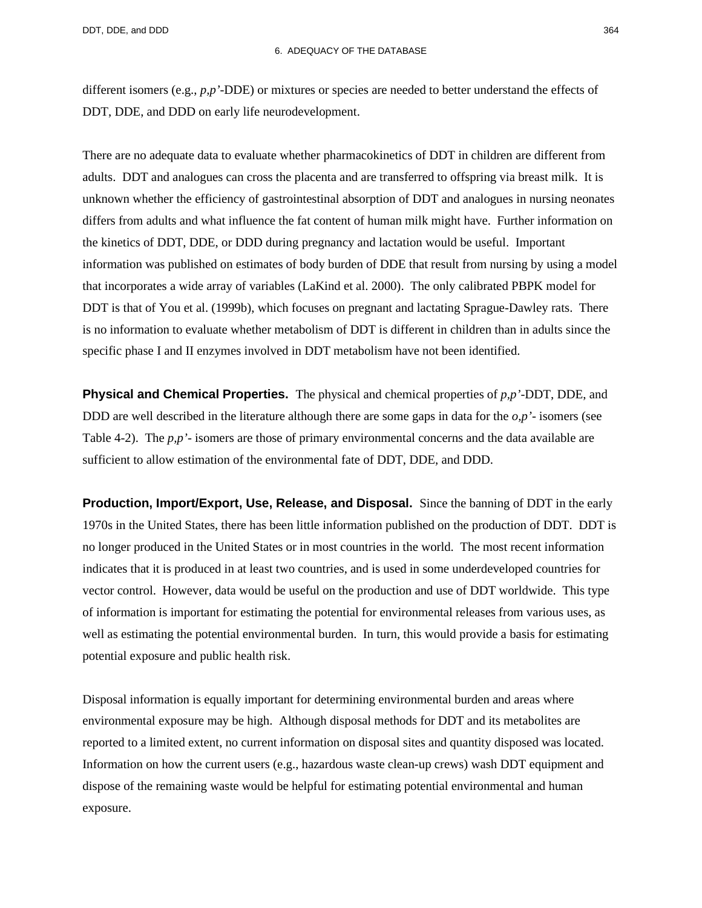different isomers (e.g., *p,p'*-DDE) or mixtures or species are needed to better understand the effects of DDT, DDE, and DDD on early life neurodevelopment.

There are no adequate data to evaluate whether pharmacokinetics of DDT in children are different from adults. DDT and analogues can cross the placenta and are transferred to offspring via breast milk. It is unknown whether the efficiency of gastrointestinal absorption of DDT and analogues in nursing neonates differs from adults and what influence the fat content of human milk might have. Further information on the kinetics of DDT, DDE, or DDD during pregnancy and lactation would be useful. Important information was published on estimates of body burden of DDE that result from nursing by using a model that incorporates a wide array of variables (LaKind et al. 2000). The only calibrated PBPK model for DDT is that of You et al. (1999b), which focuses on pregnant and lactating Sprague-Dawley rats. There is no information to evaluate whether metabolism of DDT is different in children than in adults since the specific phase I and II enzymes involved in DDT metabolism have not been identified.

**Physical and Chemical Properties.** The physical and chemical properties of *p,p'*-DDT, DDE, and DDD are well described in the literature although there are some gaps in data for the *o,p'*- isomers (see Table 4-2). The *p,p'*- isomers are those of primary environmental concerns and the data available are sufficient to allow estimation of the environmental fate of DDT, DDE, and DDD.

**Production, Import/Export, Use, Release, and Disposal.** Since the banning of DDT in the early 1970s in the United States, there has been little information published on the production of DDT. DDT is no longer produced in the United States or in most countries in the world. The most recent information indicates that it is produced in at least two countries, and is used in some underdeveloped countries for vector control. However, data would be useful on the production and use of DDT worldwide. This type of information is important for estimating the potential for environmental releases from various uses, as well as estimating the potential environmental burden. In turn, this would provide a basis for estimating potential exposure and public health risk.

Disposal information is equally important for determining environmental burden and areas where environmental exposure may be high. Although disposal methods for DDT and its metabolites are reported to a limited extent, no current information on disposal sites and quantity disposed was located. Information on how the current users (e.g., hazardous waste clean-up crews) wash DDT equipment and dispose of the remaining waste would be helpful for estimating potential environmental and human exposure.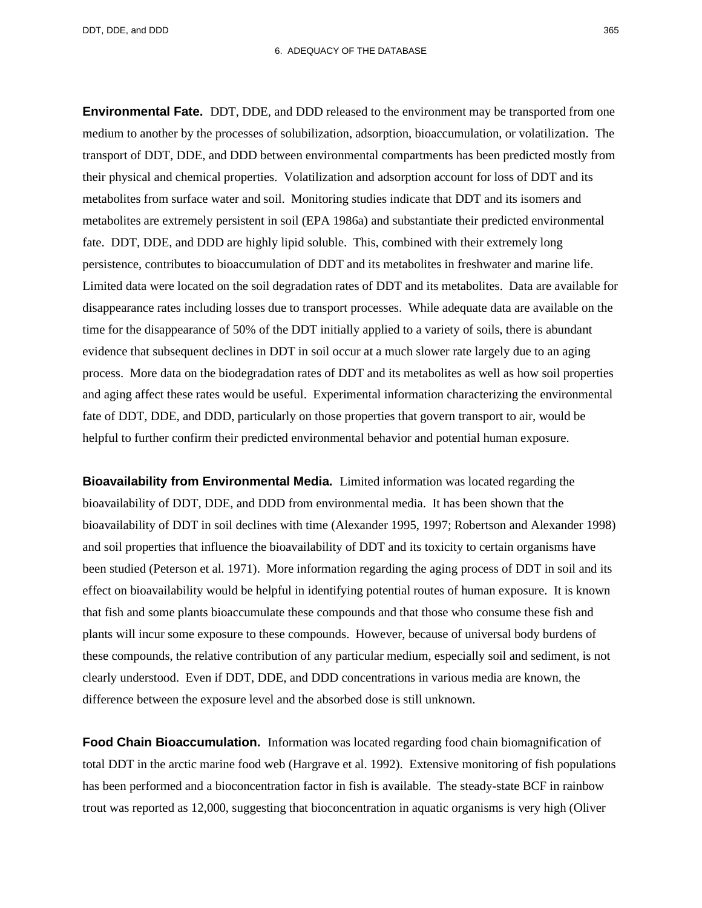**Environmental Fate.** DDT, DDE, and DDD released to the environment may be transported from one medium to another by the processes of solubilization, adsorption, bioaccumulation, or volatilization. The transport of DDT, DDE, and DDD between environmental compartments has been predicted mostly from their physical and chemical properties. Volatilization and adsorption account for loss of DDT and its metabolites from surface water and soil. Monitoring studies indicate that DDT and its isomers and metabolites are extremely persistent in soil (EPA 1986a) and substantiate their predicted environmental fate. DDT, DDE, and DDD are highly lipid soluble. This, combined with their extremely long persistence, contributes to bioaccumulation of DDT and its metabolites in freshwater and marine life. Limited data were located on the soil degradation rates of DDT and its metabolites. Data are available for disappearance rates including losses due to transport processes. While adequate data are available on the time for the disappearance of 50% of the DDT initially applied to a variety of soils, there is abundant evidence that subsequent declines in DDT in soil occur at a much slower rate largely due to an aging process. More data on the biodegradation rates of DDT and its metabolites as well as how soil properties and aging affect these rates would be useful. Experimental information characterizing the environmental fate of DDT, DDE, and DDD, particularly on those properties that govern transport to air, would be helpful to further confirm their predicted environmental behavior and potential human exposure.

**Bioavailability from Environmental Media.** Limited information was located regarding the bioavailability of DDT, DDE, and DDD from environmental media. It has been shown that the bioavailability of DDT in soil declines with time (Alexander 1995, 1997; Robertson and Alexander 1998) and soil properties that influence the bioavailability of DDT and its toxicity to certain organisms have been studied (Peterson et al. 1971). More information regarding the aging process of DDT in soil and its effect on bioavailability would be helpful in identifying potential routes of human exposure. It is known that fish and some plants bioaccumulate these compounds and that those who consume these fish and plants will incur some exposure to these compounds. However, because of universal body burdens of these compounds, the relative contribution of any particular medium, especially soil and sediment, is not clearly understood. Even if DDT, DDE, and DDD concentrations in various media are known, the difference between the exposure level and the absorbed dose is still unknown.

**Food Chain Bioaccumulation.** Information was located regarding food chain biomagnification of total DDT in the arctic marine food web (Hargrave et al. 1992). Extensive monitoring of fish populations has been performed and a bioconcentration factor in fish is available. The steady-state BCF in rainbow trout was reported as 12,000, suggesting that bioconcentration in aquatic organisms is very high (Oliver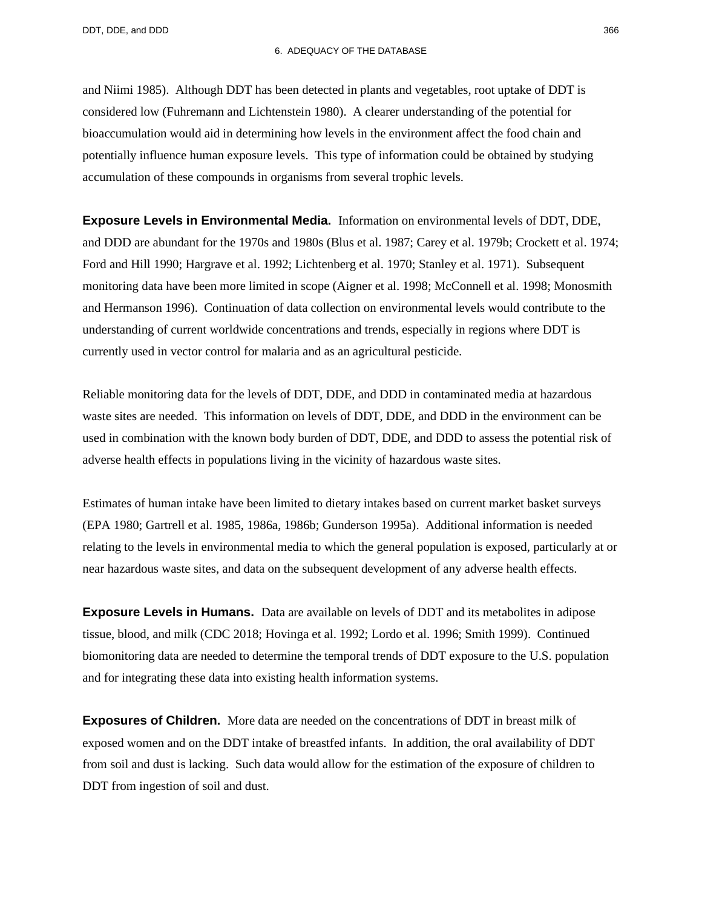#### 6. ADEQUACY OF THE DATABASE

and Niimi 1985). Although DDT has been detected in plants and vegetables, root uptake of DDT is considered low (Fuhremann and Lichtenstein 1980). A clearer understanding of the potential for bioaccumulation would aid in determining how levels in the environment affect the food chain and potentially influence human exposure levels. This type of information could be obtained by studying accumulation of these compounds in organisms from several trophic levels.

**Exposure Levels in Environmental Media.** Information on environmental levels of DDT, DDE, and DDD are abundant for the 1970s and 1980s (Blus et al. 1987; Carey et al. 1979b; Crockett et al. 1974; Ford and Hill 1990; Hargrave et al. 1992; Lichtenberg et al. 1970; Stanley et al. 1971). Subsequent monitoring data have been more limited in scope (Aigner et al. 1998; McConnell et al. 1998; Monosmith and Hermanson 1996). Continuation of data collection on environmental levels would contribute to the understanding of current worldwide concentrations and trends, especially in regions where DDT is currently used in vector control for malaria and as an agricultural pesticide.

Reliable monitoring data for the levels of DDT, DDE, and DDD in contaminated media at hazardous waste sites are needed. This information on levels of DDT, DDE, and DDD in the environment can be used in combination with the known body burden of DDT, DDE, and DDD to assess the potential risk of adverse health effects in populations living in the vicinity of hazardous waste sites.

Estimates of human intake have been limited to dietary intakes based on current market basket surveys (EPA 1980; Gartrell et al. 1985, 1986a, 1986b; Gunderson 1995a). Additional information is needed relating to the levels in environmental media to which the general population is exposed, particularly at or near hazardous waste sites, and data on the subsequent development of any adverse health effects.

**Exposure Levels in Humans.** Data are available on levels of DDT and its metabolites in adipose tissue, blood, and milk (CDC 2018; Hovinga et al. 1992; Lordo et al. 1996; Smith 1999). Continued biomonitoring data are needed to determine the temporal trends of DDT exposure to the U.S. population and for integrating these data into existing health information systems.

**Exposures of Children.** More data are needed on the concentrations of DDT in breast milk of exposed women and on the DDT intake of breastfed infants. In addition, the oral availability of DDT from soil and dust is lacking. Such data would allow for the estimation of the exposure of children to DDT from ingestion of soil and dust.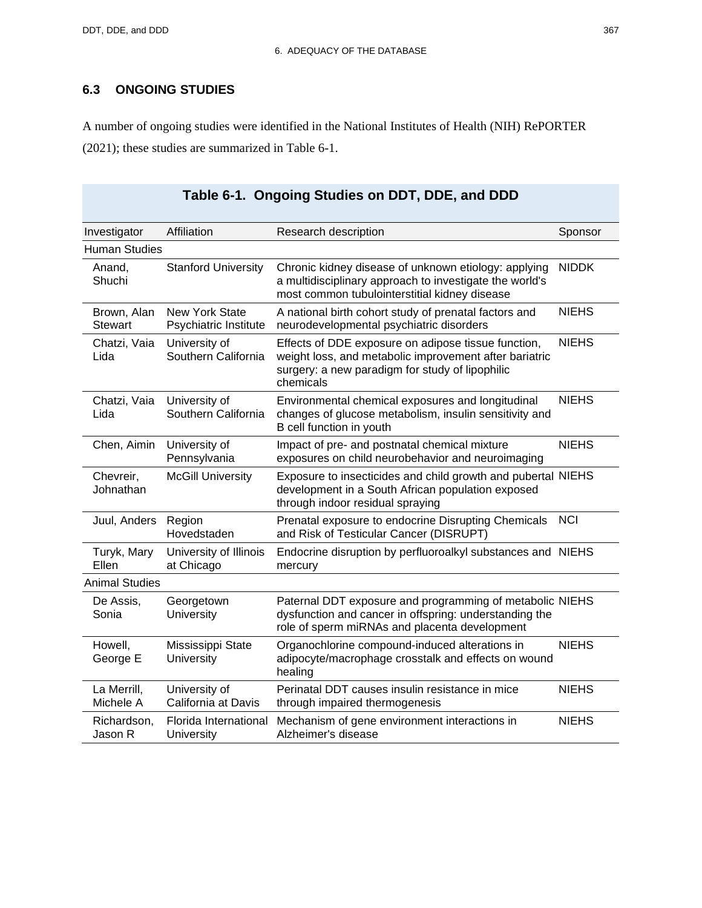## **6.3 ONGOING STUDIES**

A number of ongoing studies were identified in the National Institutes of Health (NIH) RePORTER (2021); these studies are summarized in [Table 6-1.](#page-11-0)

<span id="page-11-0"></span>

| Table 6-1. Ongoing Studies on DDT, DDE, and DDD |                                                |                                                                                                                                                                               |              |  |  |  |
|-------------------------------------------------|------------------------------------------------|-------------------------------------------------------------------------------------------------------------------------------------------------------------------------------|--------------|--|--|--|
| Investigator                                    | Affiliation                                    | Research description                                                                                                                                                          | Sponsor      |  |  |  |
| <b>Human Studies</b>                            |                                                |                                                                                                                                                                               |              |  |  |  |
| Anand,<br>Shuchi                                | <b>Stanford University</b>                     | Chronic kidney disease of unknown etiology: applying<br>a multidisciplinary approach to investigate the world's<br>most common tubulointerstitial kidney disease              | <b>NIDDK</b> |  |  |  |
| Brown, Alan<br><b>Stewart</b>                   | <b>New York State</b><br>Psychiatric Institute | A national birth cohort study of prenatal factors and<br>neurodevelopmental psychiatric disorders                                                                             | <b>NIEHS</b> |  |  |  |
| Chatzi, Vaia<br>Lida                            | University of<br>Southern California           | Effects of DDE exposure on adipose tissue function,<br>weight loss, and metabolic improvement after bariatric<br>surgery: a new paradigm for study of lipophilic<br>chemicals | <b>NIEHS</b> |  |  |  |
| Chatzi, Vaia<br>Lida                            | University of<br>Southern California           | Environmental chemical exposures and longitudinal<br>changes of glucose metabolism, insulin sensitivity and<br>B cell function in youth                                       | <b>NIEHS</b> |  |  |  |
| Chen, Aimin                                     | University of<br>Pennsylvania                  | Impact of pre- and postnatal chemical mixture<br>exposures on child neurobehavior and neuroimaging                                                                            | <b>NIEHS</b> |  |  |  |
| Chevreir,<br>Johnathan                          | <b>McGill University</b>                       | Exposure to insecticides and child growth and pubertal NIEHS<br>development in a South African population exposed<br>through indoor residual spraying                         |              |  |  |  |
| Juul, Anders                                    | Region<br>Hovedstaden                          | Prenatal exposure to endocrine Disrupting Chemicals<br>and Risk of Testicular Cancer (DISRUPT)                                                                                | <b>NCI</b>   |  |  |  |
| Turyk, Mary<br>Ellen                            | University of Illinois<br>at Chicago           | Endocrine disruption by perfluoroalkyl substances and NIEHS<br>mercury                                                                                                        |              |  |  |  |
| <b>Animal Studies</b>                           |                                                |                                                                                                                                                                               |              |  |  |  |
| De Assis,<br>Sonia                              | Georgetown<br>University                       | Paternal DDT exposure and programming of metabolic NIEHS<br>dysfunction and cancer in offspring: understanding the<br>role of sperm miRNAs and placenta development           |              |  |  |  |
| Howell,<br>George E                             | Mississippi State<br>University                | Organochlorine compound-induced alterations in<br>adipocyte/macrophage crosstalk and effects on wound<br>healing                                                              | <b>NIEHS</b> |  |  |  |
| La Merrill,<br>Michele A                        | University of<br>California at Davis           | Perinatal DDT causes insulin resistance in mice<br>through impaired thermogenesis                                                                                             | <b>NIEHS</b> |  |  |  |
| Richardson,<br>Jason R                          | Florida International<br>University            | Mechanism of gene environment interactions in<br>Alzheimer's disease                                                                                                          | <b>NIEHS</b> |  |  |  |